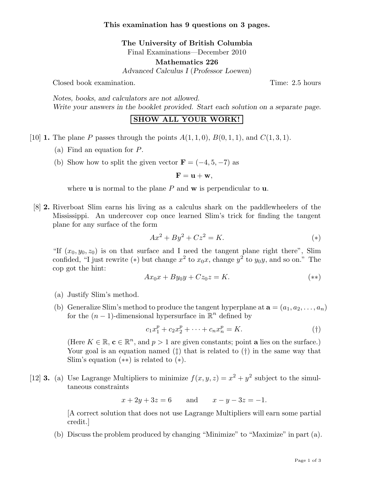The University of British Columbia

Final Examinations—December 2010

Mathematics 226

Advanced Calculus I (Professor Loewen)

Closed book examination. Time: 2.5 hours

Notes, books, and calculators are not allowed. Write your answers in the booklet provided. Start each solution on a separate page.

## SHOW ALL YOUR WORK!

- [10] **1.** The plane P passes through the points  $A(1, 1, 0)$ ,  $B(0, 1, 1)$ , and  $C(1, 3, 1)$ .
	- (a) Find an equation for P.
	- (b) Show how to split the given vector  $\mathbf{F} = (-4, 5, -7)$  as

$$
\mathbf{F}=\mathbf{u}+\mathbf{w},
$$

where  $\bf{u}$  is normal to the plane P and  $\bf{w}$  is perpendicular to  $\bf{u}$ .

[8] 2. Riverboat Slim earns his living as a calculus shark on the paddlewheelers of the Mississippi. An undercover cop once learned Slim's trick for finding the tangent plane for any surface of the form

$$
Ax^2 + By^2 + Cz^2 = K.
$$
 (\*)

"If  $(x_0, y_0, z_0)$  is on that surface and I need the tangent plane right there", Slim confided, "I just rewrite (\*) but change  $x^2$  to  $x_0x$ , change  $y^2$  to  $y_0y$ , and so on." The cop got the hint:

$$
Ax_0x + By_0y + Cz_0z = K.
$$
 (\*)

- (a) Justify Slim's method.
- (b) Generalize Slim's method to produce the tangent hyperplane at  $\mathbf{a} = (a_1, a_2, \dots, a_n)$ for the  $(n-1)$ -dimensional hypersurface in  $\mathbb{R}^n$  defined by

$$
c_1 x_1^p + c_2 x_2^p + \dots + c_n x_n^p = K. \tag{\dagger}
$$

(Here  $K \in \mathbb{R}$ ,  $c \in \mathbb{R}^n$ , and  $p > 1$  are given constants; point **a** lies on the surface.) Your goal is an equation named ( $\ddagger$ ) that is related to ( $\dagger$ ) in the same way that Slim's equation  $(**)$  is related to  $(*)$ .

[12] **3.** (a) Use Lagrange Multipliers to minimize  $f(x, y, z) = x^2 + y^2$  subject to the simultaneous constraints

 $x + 2y + 3z = 6$  and  $x - y - 3z = -1$ .

[A correct solution that does not use Lagrange Multipliers will earn some partial credit.]

(b) Discuss the problem produced by changing "Minimize" to "Maximize" in part (a).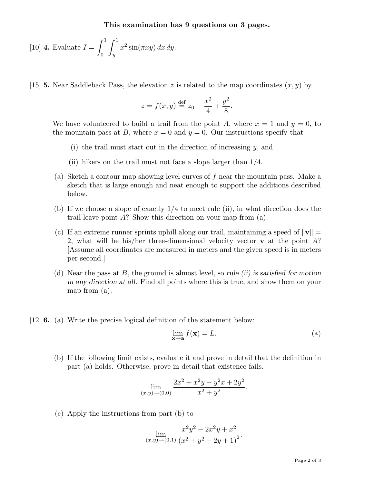This examination has 9 questions on 3 pages.

[10] **4.** Evaluate 
$$
I = \int_0^1 \int_y^1 x^2 \sin(\pi x y) dx dy
$$
.

[15] **5.** Near Saddleback Pass, the elevation z is related to the map coordinates  $(x, y)$  by

$$
z = f(x, y) \stackrel{\text{def}}{=} z_0 - \frac{x^2}{4} + \frac{y^2}{8}.
$$

We have volunteered to build a trail from the point A, where  $x = 1$  and  $y = 0$ , to the mountain pass at B, where  $x = 0$  and  $y = 0$ . Our instructions specify that

- (i) the trail must start out in the direction of increasing  $y$ , and
- (ii) hikers on the trail must not face a slope larger than 1/4.
- (a) Sketch a contour map showing level curves of  $f$  near the mountain pass. Make a sketch that is large enough and neat enough to support the additions described below.
- (b) If we choose a slope of exactly 1/4 to meet rule (ii), in what direction does the trail leave point  $A$ ? Show this direction on your map from  $(a)$ .
- (c) If an extreme runner sprints uphill along our trail, maintaining a speed of  $\|\mathbf{v}\|$  = 2, what will be his/her three-dimensional velocity vector  $\bf{v}$  at the point A? [Assume all coordinates are measured in meters and the given speed is in meters per second.]
- (d) Near the pass at  $B$ , the ground is almost level, so rule *(ii)* is satisfied for motion in any direction at all. Find all points where this is true, and show them on your map from (a).
- [12] 6. (a) Write the precise logical definition of the statement below:

$$
\lim_{\mathbf{x}\to\mathbf{a}} f(\mathbf{x}) = L.
$$
\n<sup>(\*)</sup>

(b) If the following limit exists, evaluate it and prove in detail that the definition in part (a) holds. Otherwise, prove in detail that existence fails.

$$
\lim_{(x,y)\to(0,0)}\frac{2x^2+x^2y-y^2x+2y^2}{x^2+y^2}.
$$

(c) Apply the instructions from part (b) to

$$
\lim_{(x,y)\to(0,1)}\frac{x^2y^2 - 2x^2y + x^2}{(x^2 + y^2 - 2y + 1)^2}.
$$